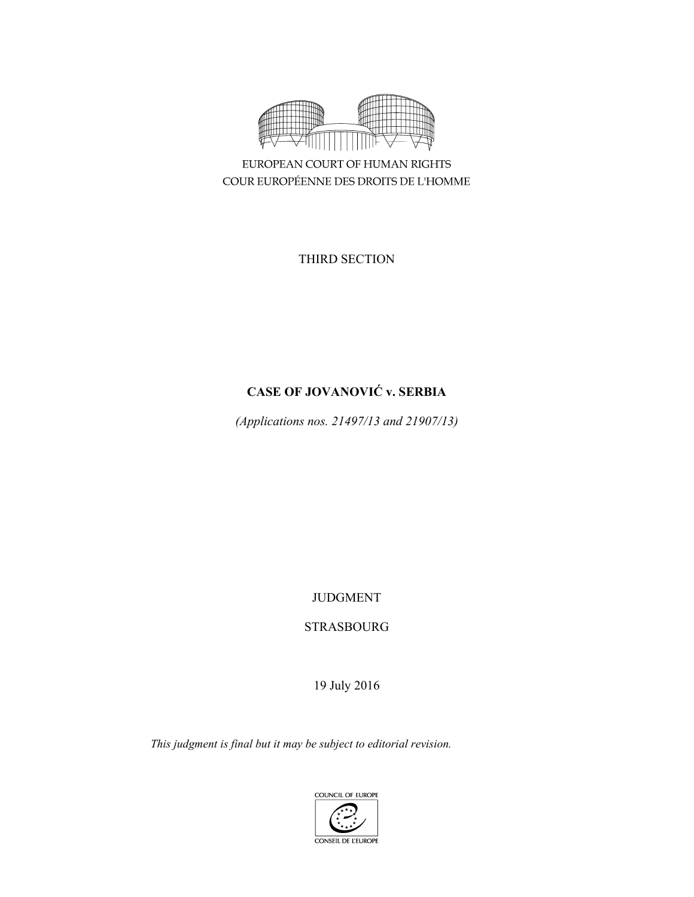

EUROPEAN COURT OF HUMAN RIGHTS COUR EUROPÉENNE DES DROITS DE L'HOMME

THIRD SECTION

# **CASE OF JOVANOVIĆ v. SERBIA**

*(Applications nos. 21497/13 and 21907/13)* 

JUDGMENT

STRASBOURG

19 July 2016

*This judgment is final but it may be subject to editorial revision.*

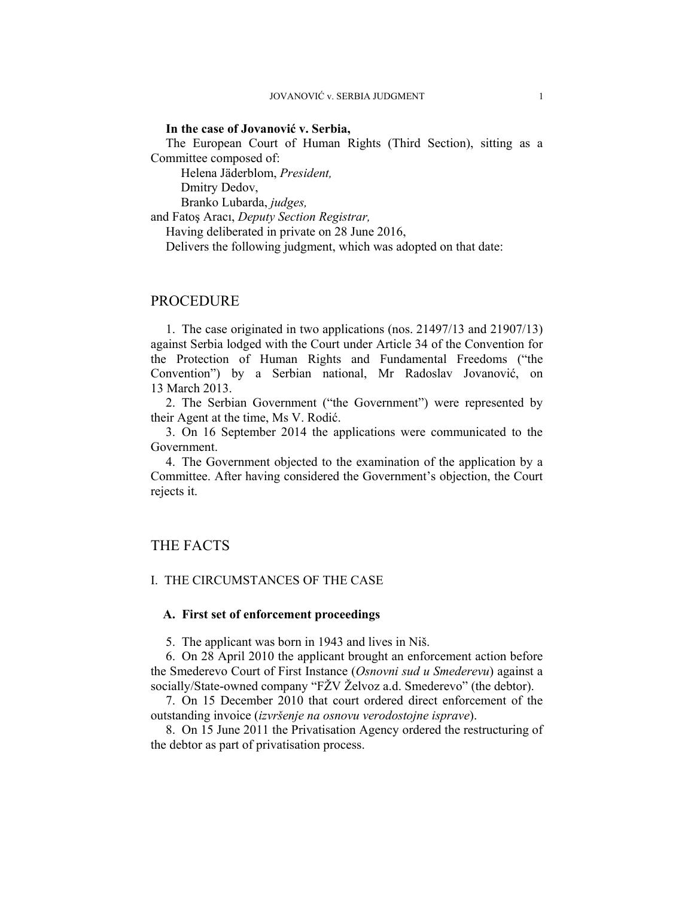#### **In the case of Jovanović v. Serbia,**

The European Court of Human Rights (Third Section), sitting as a Committee composed of:

Helena Jäderblom, *President,* 

Dmitry Dedov,

Branko Lubarda, *judges,*

and Fatoş Aracı, *Deputy Section Registrar,*

Having deliberated in private on 28 June 2016,

Delivers the following judgment, which was adopted on that date:

## PROCEDURE

1. The case originated in two applications (nos. 21497/13 and 21907/13) against Serbia lodged with the Court under Article 34 of the Convention for the Protection of Human Rights and Fundamental Freedoms ("the Convention") by a Serbian national, Mr Radoslav Jovanović, on 13 March 2013.

2. The Serbian Government ("the Government") were represented by their Agent at the time, Ms V. Rodić.

3. On 16 September 2014 the applications were communicated to the Government.

4. The Government objected to the examination of the application by a Committee. After having considered the Government's objection, the Court rejects it.

# THE FACTS

### I. THE CIRCUMSTANCES OF THE CASE

## **A. First set of enforcement proceedings**

5. The applicant was born in 1943 and lives in Niš.

6. On 28 April 2010 the applicant brought an enforcement action before the Smederevo Court of First Instance (*Osnovni sud u Smederevu*) against a socially/State-owned company "FŽV Želvoz a.d. Smederevo" (the debtor).

7. On 15 December 2010 that court ordered direct enforcement of the outstanding invoice (*izvršenje na osnovu verodostojne isprave*).

8. On 15 June 2011 the Privatisation Agency ordered the restructuring of the debtor as part of privatisation process.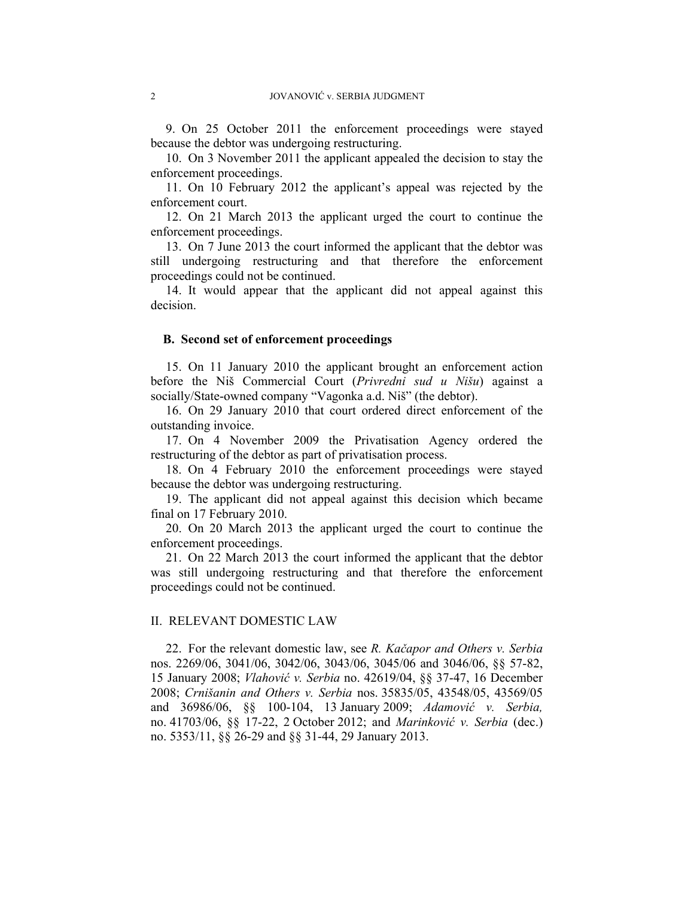9. On 25 October 2011 the enforcement proceedings were stayed because the debtor was undergoing restructuring.

10. On 3 November 2011 the applicant appealed the decision to stay the enforcement proceedings.

11. On 10 February 2012 the applicant's appeal was rejected by the enforcement court.

12. On 21 March 2013 the applicant urged the court to continue the enforcement proceedings.

13. On 7 June 2013 the court informed the applicant that the debtor was still undergoing restructuring and that therefore the enforcement proceedings could not be continued.

14. It would appear that the applicant did not appeal against this decision.

#### **B. Second set of enforcement proceedings**

15. On 11 January 2010 the applicant brought an enforcement action before the Niš Commercial Court (*Privredni sud u Nišu*) against a socially/State-owned company "Vagonka a.d. Niš" (the debtor).

16. On 29 January 2010 that court ordered direct enforcement of the outstanding invoice.

17. On 4 November 2009 the Privatisation Agency ordered the restructuring of the debtor as part of privatisation process.

18. On 4 February 2010 the enforcement proceedings were stayed because the debtor was undergoing restructuring.

19. The applicant did not appeal against this decision which became final on 17 February 2010.

20. On 20 March 2013 the applicant urged the court to continue the enforcement proceedings.

21. On 22 March 2013 the court informed the applicant that the debtor was still undergoing restructuring and that therefore the enforcement proceedings could not be continued.

#### II. RELEVANT DOMESTIC LAW

22. For the relevant domestic law, see *R. Kačapor and Others v. Serbia*  nos. 2269/06, 3041/06, 3042/06, 3043/06, 3045/06 and 3046/06, §§ 57-82, 15 January 2008; *Vlahović v. Serbia* no. 42619/04, §§ 37-47, 16 December 2008; *Crnišanin and Others v. Serbia* nos. 35835/05, 43548/05, 43569/05 and 36986/06, §§ 100-104, 13 January 2009; *Adamović v. Serbia,* no. 41703/06, §§ 17-22, 2 October 2012; and *Marinković v. Serbia* (dec.) no. 5353/11, §§ 26-29 and §§ 31-44, 29 January 2013.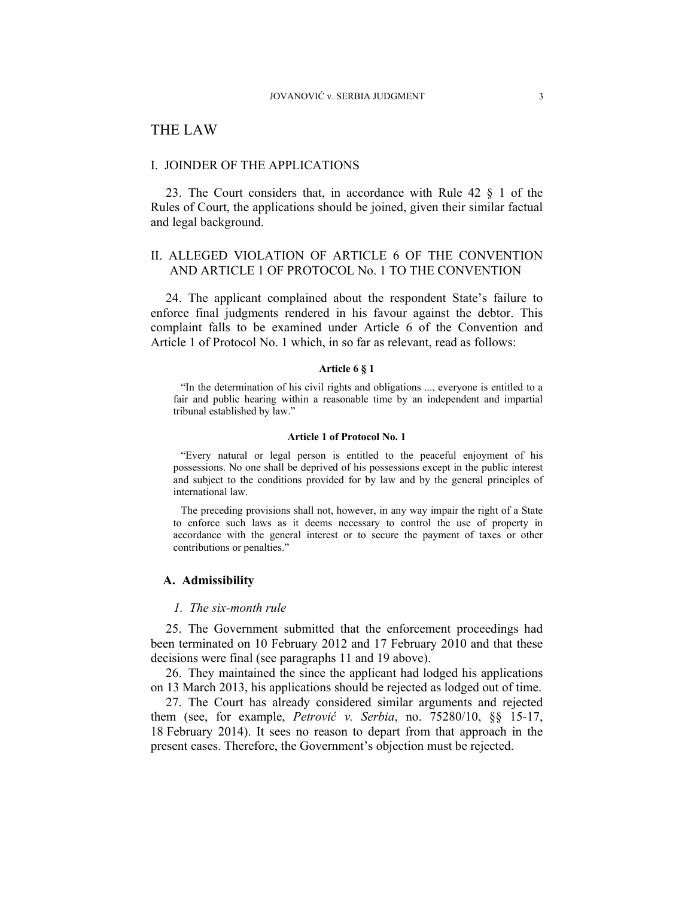# THE LAW

### I. JOINDER OF THE APPLICATIONS

23. The Court considers that, in accordance with Rule 42 § 1 of the Rules of Court, the applications should be joined, given their similar factual and legal background.

## II. ALLEGED VIOLATION OF ARTICLE 6 OF THE CONVENTION AND ARTICLE 1 OF PROTOCOL No. 1 TO THE CONVENTION

24. The applicant complained about the respondent State's failure to enforce final judgments rendered in his favour against the debtor. This complaint falls to be examined under Article 6 of the Convention and Article 1 of Protocol No. 1 which, in so far as relevant, read as follows:

### **Article 6 § 1**

"In the determination of his civil rights and obligations ..., everyone is entitled to a fair and public hearing within a reasonable time by an independent and impartial tribunal established by law."

#### **Article 1 of Protocol No. 1**

"Every natural or legal person is entitled to the peaceful enjoyment of his possessions. No one shall be deprived of his possessions except in the public interest and subject to the conditions provided for by law and by the general principles of international law.

The preceding provisions shall not, however, in any way impair the right of a State to enforce such laws as it deems necessary to control the use of property in accordance with the general interest or to secure the payment of taxes or other contributions or penalties."

#### **A. Admissibility**

#### *1. The six-month rule*

25. The Government submitted that the enforcement proceedings had been terminated on 10 February 2012 and 17 February 2010 and that these decisions were final (see paragraphs 11 and 19 above).

26. They maintained the since the applicant had lodged his applications on 13 March 2013, his applications should be rejected as lodged out of time.

27. The Court has already considered similar arguments and rejected them (see, for example, *Petrović v. Serbia*, no. 75280/10, §§ 15-17, 18 February 2014). It sees no reason to depart from that approach in the present cases. Therefore, the Government's objection must be rejected.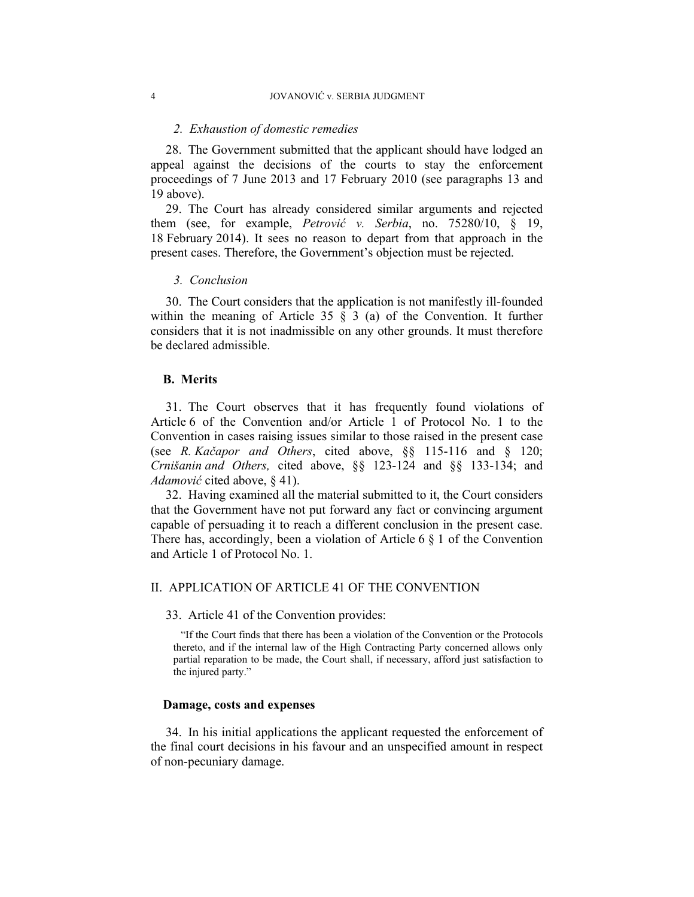#### *2. Exhaustion of domestic remedies*

28. The Government submitted that the applicant should have lodged an appeal against the decisions of the courts to stay the enforcement proceedings of 7 June 2013 and 17 February 2010 (see paragraphs 13 and 19 above).

29. The Court has already considered similar arguments and rejected them (see, for example, *Petrović v. Serbia*, no. 75280/10, § 19, 18 February 2014). It sees no reason to depart from that approach in the present cases. Therefore, the Government's objection must be rejected.

#### *3. Conclusion*

30. The Court considers that the application is not manifestly ill-founded within the meaning of Article 35  $\S$  3 (a) of the Convention. It further considers that it is not inadmissible on any other grounds. It must therefore be declared admissible.

#### **B. Merits**

31. The Court observes that it has frequently found violations of Article 6 of the Convention and/or Article 1 of Protocol No. 1 to the Convention in cases raising issues similar to those raised in the present case (see *R. Kačapor and Others*, cited above, §§ 115-116 and § 120; *Crnišanin and Others,* cited above, §§ 123-124 and §§ 133-134; and *Adamović* cited above, § 41).

32. Having examined all the material submitted to it, the Court considers that the Government have not put forward any fact or convincing argument capable of persuading it to reach a different conclusion in the present case. There has, accordingly, been a violation of Article 6  $\S$  1 of the Convention and Article 1 of Protocol No. 1.

## II. APPLICATION OF ARTICLE 41 OF THE CONVENTION

33. Article 41 of the Convention provides:

"If the Court finds that there has been a violation of the Convention or the Protocols thereto, and if the internal law of the High Contracting Party concerned allows only partial reparation to be made, the Court shall, if necessary, afford just satisfaction to the injured party."

#### **Damage, costs and expenses**

34. In his initial applications the applicant requested the enforcement of the final court decisions in his favour and an unspecified amount in respect of non-pecuniary damage.